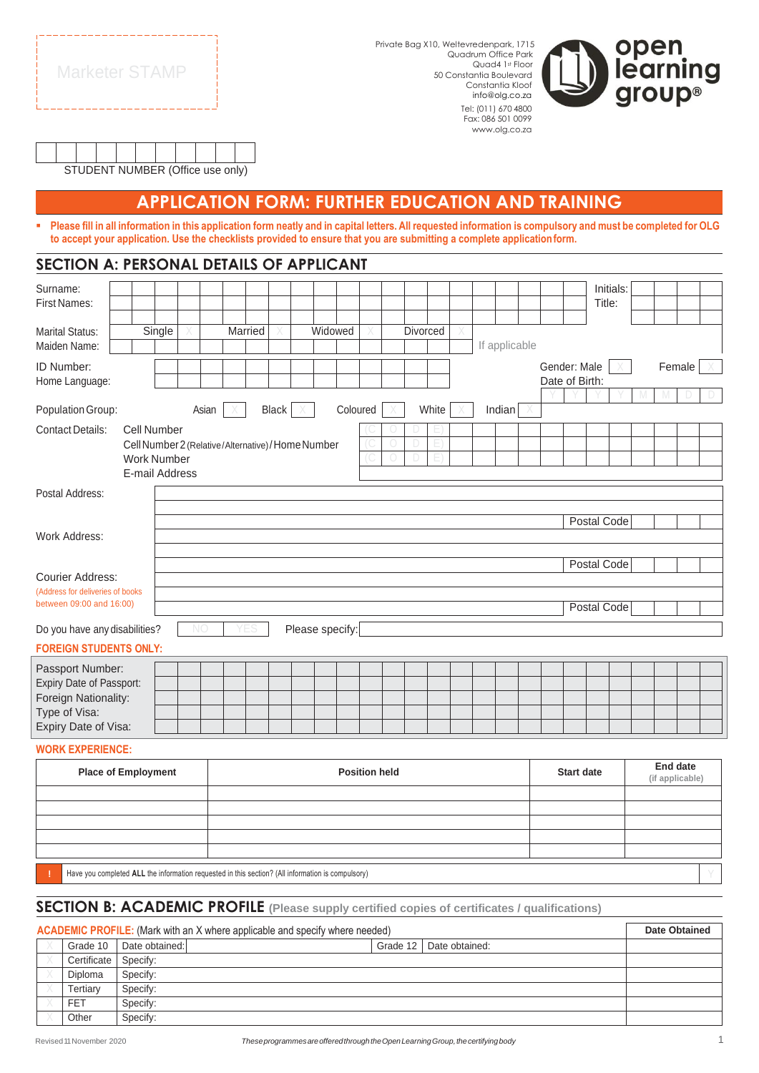| <b>Marketer STAMP</b> |  |
|-----------------------|--|

Private Bag X10, Weltevredenpark, 1715 Quadrum Office Park Quad4 1st Floor 50 Constantia Boulevard Constantia Kloof info@olg.co.za Tel: (011) 670 4800 Fax: 086 501 0099

[www.olg.co.za](http://www.olg.co.za/)



| STUDENT NUMBER (Office use only) |  |  |  |  |  |  |  |  |  |  |
|----------------------------------|--|--|--|--|--|--|--|--|--|--|

## **APPLICATION FORM: FURTHER EDUCATION AND TRAINING**

- Please fill in all information in this application form neatly and in capital letters. All requested information is compulsory and must be completed for OLG **to accept your application. Use the checklists provided to ensure that you are submitting a complete applicationform.**

| SECTION A: PERSONAL DETAILS OF APPLICANT                                                                      |                |    |       |         |                                                  |                 |          |  |          |       |  |               |                                |             |             |  |        |  |
|---------------------------------------------------------------------------------------------------------------|----------------|----|-------|---------|--------------------------------------------------|-----------------|----------|--|----------|-------|--|---------------|--------------------------------|-------------|-------------|--|--------|--|
| Surname:<br><b>First Names:</b>                                                                               |                |    |       |         |                                                  |                 |          |  |          |       |  |               |                                | Title:      | Initials:   |  |        |  |
|                                                                                                               |                |    |       |         |                                                  |                 |          |  |          |       |  |               |                                |             |             |  |        |  |
| <b>Marital Status:</b><br>Maiden Name:                                                                        | Single         |    |       | Married |                                                  | Widowed         |          |  | Divorced |       |  | If applicable |                                |             |             |  |        |  |
| ID Number:<br>Home Language:                                                                                  |                |    |       |         |                                                  |                 |          |  |          |       |  |               | Gender: Male<br>Date of Birth: |             |             |  | Female |  |
| Population Group:                                                                                             |                |    | Asian |         | Black                                            |                 | Coloured |  |          | White |  | Indian        |                                |             |             |  |        |  |
| <b>Contact Details:</b><br>Cell Number<br><b>Work Number</b>                                                  | E-mail Address |    |       |         | Cell Number 2 (Relative/Alternative)/Home Number |                 |          |  |          |       |  |               |                                |             |             |  |        |  |
| Postal Address:                                                                                               |                |    |       |         |                                                  |                 |          |  |          |       |  |               |                                |             |             |  |        |  |
| Postal Code<br>Work Address:                                                                                  |                |    |       |         |                                                  |                 |          |  |          |       |  |               |                                |             |             |  |        |  |
| <b>Courier Address:</b>                                                                                       |                |    |       |         |                                                  |                 |          |  |          |       |  |               |                                | Postal Code |             |  |        |  |
| (Address for deliveries of books<br>between 09:00 and 16:00)                                                  |                |    |       |         |                                                  |                 |          |  |          |       |  |               |                                |             | Postal Code |  |        |  |
| Do you have any disabilities?                                                                                 |                | NO |       |         |                                                  | Please specify: |          |  |          |       |  |               |                                |             |             |  |        |  |
| <b>FOREIGN STUDENTS ONLY:</b>                                                                                 |                |    |       |         |                                                  |                 |          |  |          |       |  |               |                                |             |             |  |        |  |
| Passport Number:<br>Expiry Date of Passport:<br>Foreign Nationality:<br>Type of Visa:<br>Expiry Date of Visa: |                |    |       |         |                                                  |                 |          |  |          |       |  |               |                                |             |             |  |        |  |

#### **WORK EXPERIENCE:**

| <b>Place of Employment</b>                                                                        | <b>Position held</b> | <b>Start date</b> | End date<br>(if applicable) |  |  |  |  |  |
|---------------------------------------------------------------------------------------------------|----------------------|-------------------|-----------------------------|--|--|--|--|--|
|                                                                                                   |                      |                   |                             |  |  |  |  |  |
|                                                                                                   |                      |                   |                             |  |  |  |  |  |
|                                                                                                   |                      |                   |                             |  |  |  |  |  |
|                                                                                                   |                      |                   |                             |  |  |  |  |  |
|                                                                                                   |                      |                   |                             |  |  |  |  |  |
| Have you completed ALL the information requested in this section? (All information is compulsory) |                      |                   |                             |  |  |  |  |  |

#### **SECTION B: ACADEMIC PROFILE (Please supply certified copies of certificates / qualifications)**

| <b>ACADEMIC PROFILE:</b> (Mark with an X where applicable and specify where needed) |                |                |  |  |  |  |  |
|-------------------------------------------------------------------------------------|----------------|----------------|--|--|--|--|--|
|                                                                                     | Grade 10       | Date obtained: |  |  |  |  |  |
|                                                                                     | Certificate    | Specify:       |  |  |  |  |  |
|                                                                                     | <b>Diploma</b> | Specify:       |  |  |  |  |  |
|                                                                                     | Tertiarv       | Specify:       |  |  |  |  |  |
|                                                                                     | <b>FET</b>     | Specify:       |  |  |  |  |  |
|                                                                                     | Other          | Specify:       |  |  |  |  |  |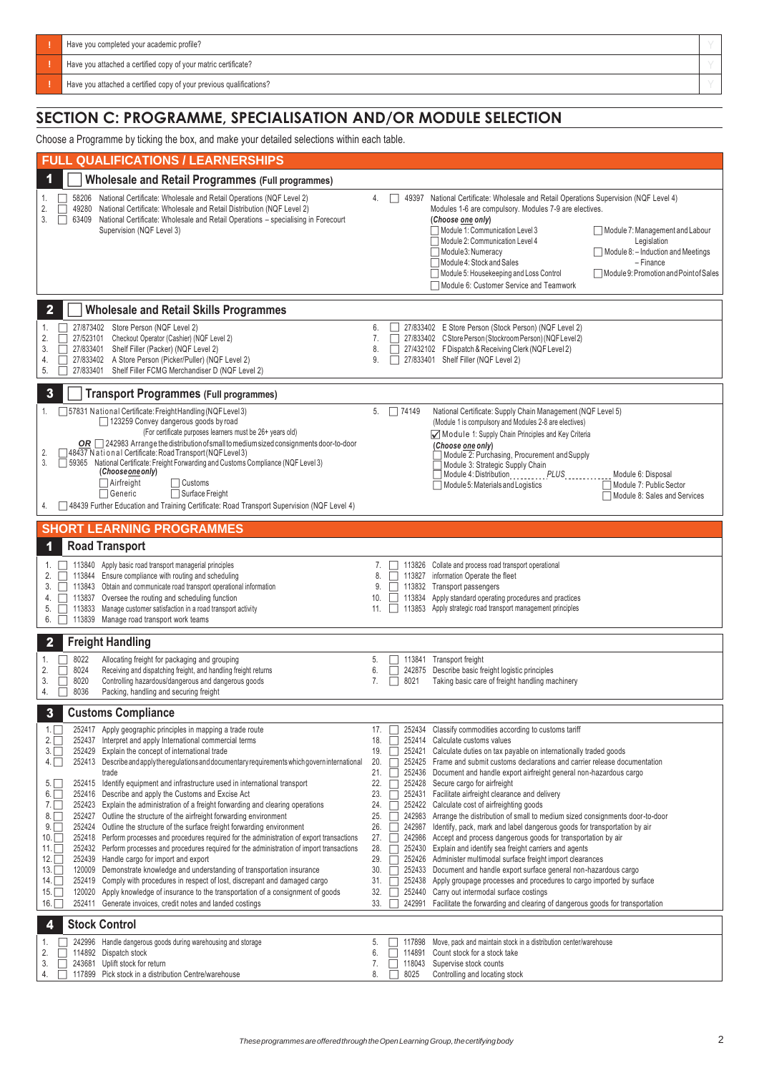| Have you completed your academic profile?                           |  |
|---------------------------------------------------------------------|--|
| Have you attached a certified copy of your matric certificate?      |  |
| Have you attached a certified copy of your previous qualifications? |  |
|                                                                     |  |

### **SECTION C: PROGRAMME, SPECIALISATION AND/OR MODULE SELECTION**

Choose a Programme by ticking the box, and make your detailed selections within each table.

| Choose a Frogramme by ticking the box, and make your detailed selections within each table.                                                                                                                                                                                                                                                                                                                                                                                                                                                                                                                                                                                                                                                                                                                                                                                                                                                                                                                                                                                                                                                                                                                                                                                                                                                                                                          |                                                                                                                                                                                                                                                                                                                                                                                                                                                                                                                                                                                                                                                                                                                                                                                                                                                                                                                                                                                                                                                                                                                                                                                                                                                                                                                                                            |  |
|------------------------------------------------------------------------------------------------------------------------------------------------------------------------------------------------------------------------------------------------------------------------------------------------------------------------------------------------------------------------------------------------------------------------------------------------------------------------------------------------------------------------------------------------------------------------------------------------------------------------------------------------------------------------------------------------------------------------------------------------------------------------------------------------------------------------------------------------------------------------------------------------------------------------------------------------------------------------------------------------------------------------------------------------------------------------------------------------------------------------------------------------------------------------------------------------------------------------------------------------------------------------------------------------------------------------------------------------------------------------------------------------------|------------------------------------------------------------------------------------------------------------------------------------------------------------------------------------------------------------------------------------------------------------------------------------------------------------------------------------------------------------------------------------------------------------------------------------------------------------------------------------------------------------------------------------------------------------------------------------------------------------------------------------------------------------------------------------------------------------------------------------------------------------------------------------------------------------------------------------------------------------------------------------------------------------------------------------------------------------------------------------------------------------------------------------------------------------------------------------------------------------------------------------------------------------------------------------------------------------------------------------------------------------------------------------------------------------------------------------------------------------|--|
| <b>FULL QUALIFICATIONS / LEARNERSHIPS</b>                                                                                                                                                                                                                                                                                                                                                                                                                                                                                                                                                                                                                                                                                                                                                                                                                                                                                                                                                                                                                                                                                                                                                                                                                                                                                                                                                            |                                                                                                                                                                                                                                                                                                                                                                                                                                                                                                                                                                                                                                                                                                                                                                                                                                                                                                                                                                                                                                                                                                                                                                                                                                                                                                                                                            |  |
| <b>Wholesale and Retail Programmes (Full programmes)</b>                                                                                                                                                                                                                                                                                                                                                                                                                                                                                                                                                                                                                                                                                                                                                                                                                                                                                                                                                                                                                                                                                                                                                                                                                                                                                                                                             |                                                                                                                                                                                                                                                                                                                                                                                                                                                                                                                                                                                                                                                                                                                                                                                                                                                                                                                                                                                                                                                                                                                                                                                                                                                                                                                                                            |  |
| National Certificate: Wholesale and Retail Operations (NQF Level 2)<br>58206<br>1.<br>2.<br>National Certificate: Wholesale and Retail Distribution (NQF Level 2)<br>49280<br>3.<br>National Certificate: Wholesale and Retail Operations - specialising in Forecourt<br>63409<br>г<br>Supervision (NQF Level 3)                                                                                                                                                                                                                                                                                                                                                                                                                                                                                                                                                                                                                                                                                                                                                                                                                                                                                                                                                                                                                                                                                     | National Certificate: Wholesale and Retail Operations Supervision (NQF Level 4)<br>4.<br>$\Box$ 49397<br>Modules 1-6 are compulsory. Modules 7-9 are electives.<br>(Choose one only)<br>Module 1: Communication Level 3<br>Module 7: Management and Labour<br>Module 2: Communication Level 4<br>Legislation<br>$\Box$ Module 8: - Induction and Meetings<br>Module3: Numeracy<br>Module 4: Stock and Sales<br>- Finance<br>Module 9: Promotion and Point of Sales<br>Module 5: Housekeeping and Loss Control<br>Module 6: Customer Service and Teamwork                                                                                                                                                                                                                                                                                                                                                                                                                                                                                                                                                                                                                                                                                                                                                                                                   |  |
| <b>Wholesale and Retail Skills Programmes</b><br>2                                                                                                                                                                                                                                                                                                                                                                                                                                                                                                                                                                                                                                                                                                                                                                                                                                                                                                                                                                                                                                                                                                                                                                                                                                                                                                                                                   |                                                                                                                                                                                                                                                                                                                                                                                                                                                                                                                                                                                                                                                                                                                                                                                                                                                                                                                                                                                                                                                                                                                                                                                                                                                                                                                                                            |  |
| 27/873402<br>Store Person (NQF Level 2)<br>1.<br>Checkout Operator (Cashier) (NQF Level 2)<br>2.<br>27/523101<br>Shelf Filler (Packer) (NQF Level 2)<br>3.<br>27/833401<br>27/833402 A Store Person (Picker/Puller) (NQF Level 2)<br>4.<br>5.<br>27/833401<br>Shelf Filler FCMG Merchandiser D (NQF Level 2)                                                                                                                                                                                                                                                                                                                                                                                                                                                                                                                                                                                                                                                                                                                                                                                                                                                                                                                                                                                                                                                                                         | 27/833402 E Store Person (Stock Person) (NQF Level 2)<br>6.<br>27/833402 CStore Person (Stockroom Person) (NQF Level 2)<br>7.<br>27/432102 F Dispatch & Receiving Clerk (NQF Level 2)<br>8.<br>27/833401 Shelf Filler (NQF Level 2)<br>9.                                                                                                                                                                                                                                                                                                                                                                                                                                                                                                                                                                                                                                                                                                                                                                                                                                                                                                                                                                                                                                                                                                                  |  |
| 3<br><b>Transport Programmes (Full programmes)</b>                                                                                                                                                                                                                                                                                                                                                                                                                                                                                                                                                                                                                                                                                                                                                                                                                                                                                                                                                                                                                                                                                                                                                                                                                                                                                                                                                   |                                                                                                                                                                                                                                                                                                                                                                                                                                                                                                                                                                                                                                                                                                                                                                                                                                                                                                                                                                                                                                                                                                                                                                                                                                                                                                                                                            |  |
| □ 57831 National Certificate: Freight Handling (NQF Level 3)<br>1.<br>123259 Convey dangerous goods by road<br>(For certificate purposes learners must be 26+ years old)<br>OR $\Box$ 242983 Arrange the distribution of small to medium sized consignments door-to-door<br>48437 National Certificate: Road Transport (NQF Level 3)<br>2.<br>3.<br>59365 National Certificate: Freight Forwarding and Customs Compliance (NQF Level 3)<br>(Choose one only)<br>$\Box$ Airfreight<br>Customs<br>Surface Freight<br>$\Box$ Generic<br>□ 48439 Further Education and Training Certificate: Road Transport Supervision (NQF Level 4)                                                                                                                                                                                                                                                                                                                                                                                                                                                                                                                                                                                                                                                                                                                                                                    | $5. \Box 74149$<br>National Certificate: Supply Chain Management (NQF Level 5)<br>(Module 1 is compulsory and Modules 2-8 are electives)<br>Module 1: Supply Chain Principles and Key Criteria<br>(Choose one only)<br>Module 2: Purchasing, Procurement and Supply<br>Module 3: Strategic Supply Chain<br>Module 4: Distribution ___________ PLUS _____________ Module 6: Disposal<br>Module 5: Materials and Logistics<br>Module 7: Public Sector<br>Module 8: Sales and Services                                                                                                                                                                                                                                                                                                                                                                                                                                                                                                                                                                                                                                                                                                                                                                                                                                                                        |  |
| <b>SHORT LEARNING PROGRAMMES</b>                                                                                                                                                                                                                                                                                                                                                                                                                                                                                                                                                                                                                                                                                                                                                                                                                                                                                                                                                                                                                                                                                                                                                                                                                                                                                                                                                                     |                                                                                                                                                                                                                                                                                                                                                                                                                                                                                                                                                                                                                                                                                                                                                                                                                                                                                                                                                                                                                                                                                                                                                                                                                                                                                                                                                            |  |
| <b>Road Transport</b>                                                                                                                                                                                                                                                                                                                                                                                                                                                                                                                                                                                                                                                                                                                                                                                                                                                                                                                                                                                                                                                                                                                                                                                                                                                                                                                                                                                |                                                                                                                                                                                                                                                                                                                                                                                                                                                                                                                                                                                                                                                                                                                                                                                                                                                                                                                                                                                                                                                                                                                                                                                                                                                                                                                                                            |  |
| 113840 Apply basic road transport managerial principles<br>1.<br>113844 Ensure compliance with routing and scheduling<br>2.<br>113843 Obtain and communicate road transport operational information<br>3.<br>113837 Oversee the routing and scheduling function<br>4.<br>113833 Manage customer satisfaction in a road transport activity<br>5.<br>113839 Manage road transport work teams<br>6.                                                                                                                                                                                                                                                                                                                                                                                                                                                                                                                                                                                                                                                                                                                                                                                                                                                                                                                                                                                                     | 113826 Collate and process road transport operational<br>7.<br>113827 information Operate the fleet<br>8.<br>П<br>113832 Transport passengers<br>9.<br>113834 Apply standard operating procedures and practices<br>10.<br>$\Box$<br>11. 113853 Apply strategic road transport management principles                                                                                                                                                                                                                                                                                                                                                                                                                                                                                                                                                                                                                                                                                                                                                                                                                                                                                                                                                                                                                                                        |  |
| <b>Freight Handling</b>                                                                                                                                                                                                                                                                                                                                                                                                                                                                                                                                                                                                                                                                                                                                                                                                                                                                                                                                                                                                                                                                                                                                                                                                                                                                                                                                                                              |                                                                                                                                                                                                                                                                                                                                                                                                                                                                                                                                                                                                                                                                                                                                                                                                                                                                                                                                                                                                                                                                                                                                                                                                                                                                                                                                                            |  |
| 8022<br>Allocating freight for packaging and grouping<br>1.<br>2.<br>8024<br>Receiving and dispatching freight, and handling freight returns<br>П<br>8020<br>Controlling hazardous/dangerous and dangerous goods<br>3.<br>8036<br>Packing, handling and securing freight<br>4.                                                                                                                                                                                                                                                                                                                                                                                                                                                                                                                                                                                                                                                                                                                                                                                                                                                                                                                                                                                                                                                                                                                       | 5.<br>113841 Transport freight<br>6.<br>242875 Describe basic freight logistic principles<br>П<br>7.<br>8021<br>Taking basic care of freight handling machinery<br>П                                                                                                                                                                                                                                                                                                                                                                                                                                                                                                                                                                                                                                                                                                                                                                                                                                                                                                                                                                                                                                                                                                                                                                                       |  |
| <b>Customs Compliance</b><br>$\overline{\mathbf{3}}$                                                                                                                                                                                                                                                                                                                                                                                                                                                                                                                                                                                                                                                                                                                                                                                                                                                                                                                                                                                                                                                                                                                                                                                                                                                                                                                                                 |                                                                                                                                                                                                                                                                                                                                                                                                                                                                                                                                                                                                                                                                                                                                                                                                                                                                                                                                                                                                                                                                                                                                                                                                                                                                                                                                                            |  |
| 252417 Apply geographic principles in mapping a trade route<br>1.1<br>252437 Interpret and apply International commercial terms<br>$2.\Box$<br>252429 Explain the concept of international trade<br>3.<br>252413 Describe and apply the regulations and documentary requirements which govern international<br>$4. \Box$<br>trade<br>252415 Identify equipment and infrastructure used in international transport<br>5.<br>6.<br>252416 Describe and apply the Customs and Excise Act<br>$7.\Box$<br>252423 Explain the administration of a freight forwarding and clearing operations<br>8.<br>252427 Outline the structure of the airfreight forwarding environment<br>9.<br>252424 Outline the structure of the surface freight forwarding environment<br>$10.\Box$<br>252418 Perform processes and procedures required for the administration of export transactions<br>$11. \Box$<br>252432 Perform processes and procedures required for the administration of import transactions<br>12. $\Box$<br>252439 Handle cargo for import and export<br>13.<br>120009 Demonstrate knowledge and understanding of transportation insurance<br>14.<br>252419 Comply with procedures in respect of lost, discrepant and damaged cargo<br>15.<br>120020 Apply knowledge of insurance to the transportation of a consignment of goods<br>16.<br>252411 Generate invoices, credit notes and landed costings | 252434 Classify commodities according to customs tariff<br>17.<br>252414 Calculate customs values<br>18.<br>П<br>252421 Calculate duties on tax payable on internationally traded goods<br>19.<br>П<br>252425 Frame and submit customs declarations and carrier release documentation<br>20.<br>П<br>252436 Document and handle export airfreight general non-hazardous cargo<br>21.<br>П<br>22.<br>252428 Secure cargo for airfreight<br>23.<br>252431 Facilitate airfreight clearance and delivery<br>П<br>252422 Calculate cost of airfreighting goods<br>24.<br>П<br>П<br>242983 Arrange the distribution of small to medium sized consignments door-to-door<br>25.<br>242987 Identify, pack, mark and label dangerous goods for transportation by air<br>26.<br>П<br>27. $\Box$<br>242986 Accept and process dangerous goods for transportation by air<br>28.<br>252430 Explain and identify sea freight carriers and agents<br>29.<br>252426 Administer multimodal surface freight import clearances<br>$\perp$<br>30.<br>252433 Document and handle export surface general non-hazardous cargo<br>П<br>252438 Apply groupage processes and procedures to cargo imported by surface<br>31.<br>252440 Carry out intermodal surface costings<br>32.<br>П<br>242991 Facilitate the forwarding and clearing of dangerous goods for transportation<br>33. |  |
| <b>Stock Control</b><br>4                                                                                                                                                                                                                                                                                                                                                                                                                                                                                                                                                                                                                                                                                                                                                                                                                                                                                                                                                                                                                                                                                                                                                                                                                                                                                                                                                                            |                                                                                                                                                                                                                                                                                                                                                                                                                                                                                                                                                                                                                                                                                                                                                                                                                                                                                                                                                                                                                                                                                                                                                                                                                                                                                                                                                            |  |
| 242996 Handle dangerous goods during warehousing and storage<br>1.<br>2.<br>114892 Dispatch stock<br>243681 Uplift stock for return<br>3.<br>117899 Pick stock in a distribution Centre/warehouse<br>4.                                                                                                                                                                                                                                                                                                                                                                                                                                                                                                                                                                                                                                                                                                                                                                                                                                                                                                                                                                                                                                                                                                                                                                                              | Move, pack and maintain stock in a distribution center/warehouse<br>5.<br>117898<br>6.<br>114891<br>Count stock for a stock take<br>7.<br>118043<br>Supervise stock counts<br>8.<br>8025<br>Controlling and locating stock                                                                                                                                                                                                                                                                                                                                                                                                                                                                                                                                                                                                                                                                                                                                                                                                                                                                                                                                                                                                                                                                                                                                 |  |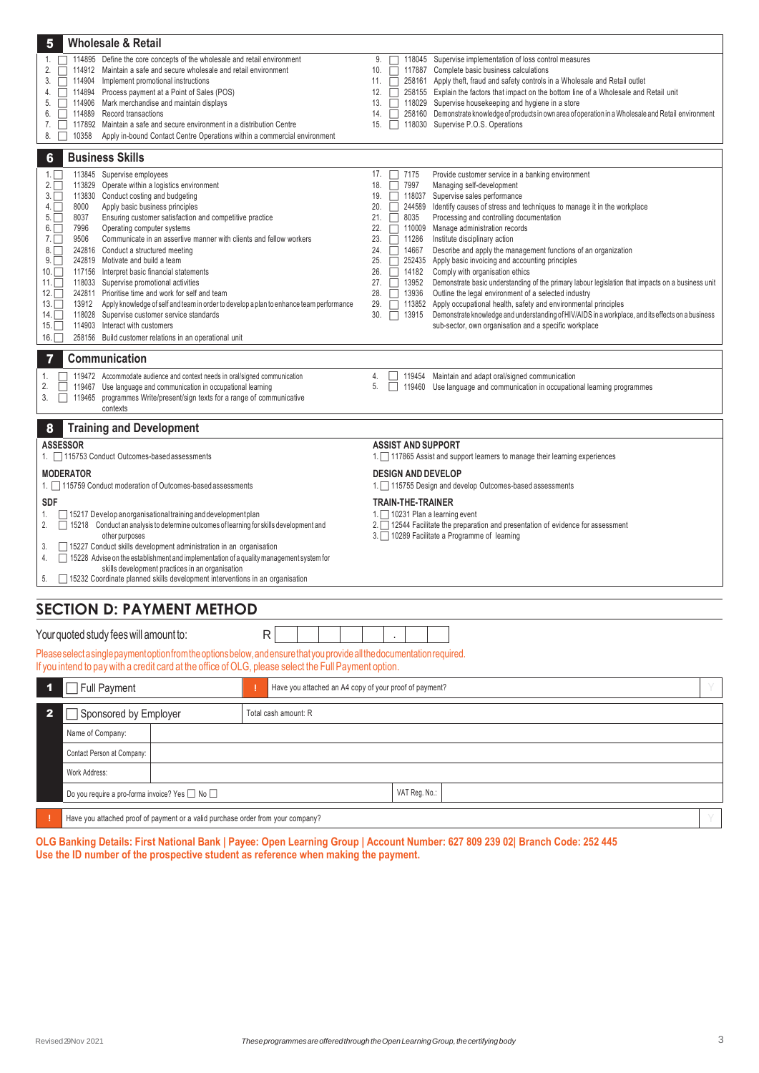| 5                       | <b>Wholesale &amp; Retail</b>                                                                                                                                                                                                     |                                                        |            |                                         |               |                                                                                                                                                  |
|-------------------------|-----------------------------------------------------------------------------------------------------------------------------------------------------------------------------------------------------------------------------------|--------------------------------------------------------|------------|-----------------------------------------|---------------|--------------------------------------------------------------------------------------------------------------------------------------------------|
| 1.                      | 114895 Define the core concepts of the wholesale and retail environment                                                                                                                                                           |                                                        | 9.         | ΓI                                      |               | 118045 Supervise implementation of loss control measures                                                                                         |
| 2.                      | 114912 Maintain a safe and secure wholesale and retail environment                                                                                                                                                                |                                                        | 10.        | П                                       |               | 117887 Complete basic business calculations                                                                                                      |
| 3.                      | 114904 Implement promotional instructions                                                                                                                                                                                         |                                                        | 11.        | П                                       |               | 258161 Apply theft, fraud and safety controls in a Wholesale and Retail outlet                                                                   |
| 4.<br>5.                | 114894 Process payment at a Point of Sales (POS)<br>114906 Mark merchandise and maintain displays                                                                                                                                 |                                                        | 12.<br>13. | П.                                      |               | 258155 Explain the factors that impact on the bottom line of a Wholesale and Retail unit<br>118029 Supervise housekeeping and hygiene in a store |
| 6.                      | 114889 Record transactions                                                                                                                                                                                                        |                                                        | 14.        | П                                       |               | 258160 Demonstrate knowledge of products in own area of operation in a Wholesale and Retail environment                                          |
| 7.                      | 117892 Maintain a safe and secure environment in a distribution Centre                                                                                                                                                            |                                                        | 15.        | П                                       |               | 118030 Supervise P.O.S. Operations                                                                                                               |
| 8.                      | 10358<br>Apply in-bound Contact Centre Operations within a commercial environment                                                                                                                                                 |                                                        |            |                                         |               |                                                                                                                                                  |
|                         |                                                                                                                                                                                                                                   |                                                        |            |                                         |               |                                                                                                                                                  |
| 6                       | <b>Business Skills</b>                                                                                                                                                                                                            |                                                        |            |                                         |               |                                                                                                                                                  |
| 1.<br>$2.\Box$          | 113845 Supervise employees<br>113829 Operate within a logistics environment                                                                                                                                                       |                                                        | 17.<br>18. | $\boxed{\phantom{1}}$ 7175<br>7997<br>П |               | Provide customer service in a banking environment<br>Managing self-development                                                                   |
| $3. \Box$               | 113830 Conduct costing and budgeting                                                                                                                                                                                              |                                                        | 19.        | П                                       |               | 118037 Supervise sales performance                                                                                                               |
| $4. \Box$               | Apply basic business principles<br>8000                                                                                                                                                                                           |                                                        | 20.        | П                                       |               | 244589 Identify causes of stress and techniques to manage it in the workplace                                                                    |
| $5. \Box$               | Ensuring customer satisfaction and competitive practice<br>8037                                                                                                                                                                   |                                                        | 21.        | П<br>8035                               |               | Processing and controlling documentation                                                                                                         |
| $6. \Box$               | 7996<br>Operating computer systems                                                                                                                                                                                                |                                                        | 22.        | П                                       |               | 110009 Manage administration records                                                                                                             |
| 7.                      | Communicate in an assertive manner with clients and fellow workers<br>9506                                                                                                                                                        |                                                        | 23.        | 11286<br>П                              |               | Institute disciplinary action                                                                                                                    |
| 8.<br>$9.\Box$          | 242816 Conduct a structured meeting<br>242819 Motivate and build a team                                                                                                                                                           |                                                        | 24.<br>25. | 14667<br>П<br>П                         |               | Describe and apply the management functions of an organization<br>252435 Apply basic invoicing and accounting principles                         |
| $10.\Box$               | 117156 Interpret basic financial statements                                                                                                                                                                                       |                                                        | 26.        | П                                       | 14182         | Comply with organisation ethics                                                                                                                  |
| 11. $\Box$              | 118033 Supervise promotional activities                                                                                                                                                                                           |                                                        | 27.        | $\Box$                                  | 13952         | Demonstrate basic understanding of the primary labour legislation that impacts on a business unit                                                |
| $12. \Box$              | 242811 Prioritise time and work for self and team                                                                                                                                                                                 |                                                        | 28.        | П                                       | 13936         | Outline the legal environment of a selected industry                                                                                             |
| 13.                     | 13912 Apply knowledge of self and team in order to develop a plan to enhance team performance                                                                                                                                     |                                                        | 29.        |                                         |               | 113852 Apply occupational health, safety and environmental principles                                                                            |
| $14. \Box$              | 118028 Supervise customer service standards                                                                                                                                                                                       |                                                        | 30.        | 13915<br>П                              |               | Demonstrate knowledge and understanding of HIV/AIDS in a workplace, and its effects on a business                                                |
| 15.                     | 114903 Interact with customers<br>258156 Build customer relations in an operational unit                                                                                                                                          |                                                        |            |                                         |               | sub-sector, own organisation and a specific workplace                                                                                            |
| 16.                     |                                                                                                                                                                                                                                   |                                                        |            |                                         |               |                                                                                                                                                  |
|                         | Communication                                                                                                                                                                                                                     |                                                        |            |                                         |               |                                                                                                                                                  |
| 1.                      | 119472 Accommodate audience and context needs in oral/signed communication                                                                                                                                                        |                                                        | 4.         |                                         |               | 119454 Maintain and adapt oral/signed communication                                                                                              |
| 2.                      | 119467 Use language and communication in occupational learning                                                                                                                                                                    |                                                        | 5.         | П                                       |               | 119460 Use language and communication in occupational learning programmes                                                                        |
| 3.                      | 119465 programmes Write/present/sign texts for a range of communicative<br>contexts                                                                                                                                               |                                                        |            |                                         |               |                                                                                                                                                  |
| 8                       | <b>Training and Development</b>                                                                                                                                                                                                   |                                                        |            |                                         |               |                                                                                                                                                  |
|                         | <b>ASSESSOR</b>                                                                                                                                                                                                                   |                                                        |            | <b>ASSIST AND SUPPORT</b>               |               |                                                                                                                                                  |
|                         |                                                                                                                                                                                                                                   |                                                        |            |                                         |               |                                                                                                                                                  |
|                         | 1. 115753 Conduct Outcomes-based assessments                                                                                                                                                                                      |                                                        |            |                                         |               | 1. 117865 Assist and support learners to manage their learning experiences                                                                       |
|                         | <b>MODERATOR</b>                                                                                                                                                                                                                  |                                                        |            | <b>DESIGN AND DEVELOP</b>               |               |                                                                                                                                                  |
|                         | 1. 115759 Conduct moderation of Outcomes-based assessments                                                                                                                                                                        |                                                        |            |                                         |               | 1. 115755 Design and develop Outcomes-based assessments                                                                                          |
| <b>SDF</b>              |                                                                                                                                                                                                                                   |                                                        |            | <b>TRAIN-THE-TRAINER</b>                |               |                                                                                                                                                  |
| 1.                      | $\Box$ 15217 Develop an organisational training and development plan                                                                                                                                                              |                                                        |            |                                         |               | 1. $\Box$ 10231 Plan a learning event                                                                                                            |
| 2.                      | □ 15218 Conduct an analysis to determine outcomes of learning for skills development and                                                                                                                                          |                                                        |            |                                         |               | 2. 12544 Facilitate the preparation and presentation of evidence for assessment                                                                  |
|                         | other purposes                                                                                                                                                                                                                    |                                                        |            |                                         |               | 3. 10289 Facilitate a Programme of learning                                                                                                      |
| 3.                      | □ 15227 Conduct skills development administration in an organisation                                                                                                                                                              |                                                        |            |                                         |               |                                                                                                                                                  |
| 4.                      | $\Box$ 15228 Advise on the establishment and implementation of a quality management system for                                                                                                                                    |                                                        |            |                                         |               |                                                                                                                                                  |
| 5.                      | skills development practices in an organisation<br>□ 15232 Coordinate planned skills development interventions in an organisation                                                                                                 |                                                        |            |                                         |               |                                                                                                                                                  |
|                         |                                                                                                                                                                                                                                   |                                                        |            |                                         |               |                                                                                                                                                  |
|                         | <b>SECTION D: PAYMENT METHOD</b>                                                                                                                                                                                                  |                                                        |            |                                         |               |                                                                                                                                                  |
|                         |                                                                                                                                                                                                                                   |                                                        |            |                                         |               |                                                                                                                                                  |
|                         | Your quoted study fees will amount to:                                                                                                                                                                                            | R                                                      |            |                                         |               |                                                                                                                                                  |
|                         | Please select a single payment option from the options below, and ensure that you provide all the documentation required.<br>If you intend to pay with a credit card at the office of OLG, please select the Full Payment option. |                                                        |            |                                         |               |                                                                                                                                                  |
| $\blacktriangleleft$    | Full Payment                                                                                                                                                                                                                      | Have you attached an A4 copy of your proof of payment? |            |                                         |               |                                                                                                                                                  |
|                         |                                                                                                                                                                                                                                   |                                                        |            |                                         |               |                                                                                                                                                  |
| $\overline{\mathbf{2}}$ | Sponsored by Employer                                                                                                                                                                                                             | Total cash amount: R                                   |            |                                         |               |                                                                                                                                                  |
|                         | Name of Company:                                                                                                                                                                                                                  |                                                        |            |                                         |               |                                                                                                                                                  |
|                         | Contact Person at Company:                                                                                                                                                                                                        |                                                        |            |                                         |               |                                                                                                                                                  |
|                         | Work Address:                                                                                                                                                                                                                     |                                                        |            |                                         | VAT Reg. No.: |                                                                                                                                                  |

**!** Have you attached proof of payment or a valid purchase order from your company?

**OLG Banking Details: First National Bank | Payee: Open Learning Group | Account Number: 627 809 239 02| Branch Code: 252 445 Use the ID number of the prospective student as reference when making the payment.**